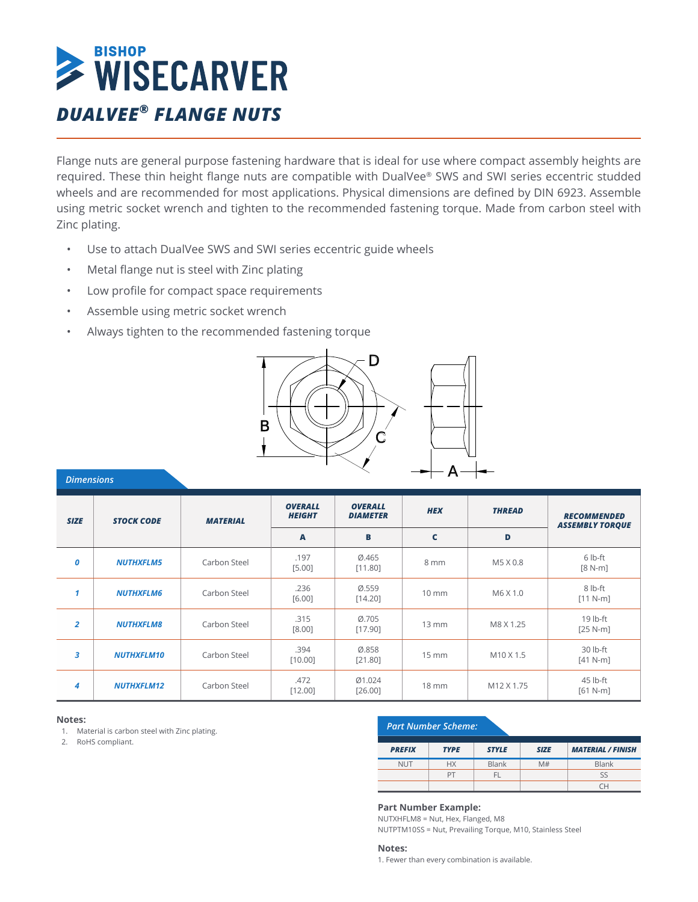

Flange nuts are general purpose fastening hardware that is ideal for use where compact assembly heights are required. These thin height flange nuts are compatible with DualVee® SWS and SWI series eccentric studded wheels and are recommended for most applications. Physical dimensions are defined by DIN 6923. Assemble using metric socket wrench and tighten to the recommended fastening torque. Made from carbon steel with Zinc plating.

- Use to attach DualVee SWS and SWI series eccentric guide wheels
- Metal flange nut is steel with Zinc plating
- Low profile for compact space requirements
- Assemble using metric socket wrench
- Always tighten to the recommended fastening torque



| <b>Dimensions</b> |                   |                 |                                 |                                   | . .               |                                  |                                              |
|-------------------|-------------------|-----------------|---------------------------------|-----------------------------------|-------------------|----------------------------------|----------------------------------------------|
| <b>SIZE</b>       | <b>STOCK CODE</b> | <b>MATERIAL</b> | <b>OVERALL</b><br><b>HEIGHT</b> | <b>OVERALL</b><br><b>DIAMETER</b> | <b>HEX</b>        | <b>THREAD</b>                    | <b>RECOMMENDED</b><br><b>ASSEMBLY TORQUE</b> |
|                   |                   |                 | A                               | B                                 | $\mathbf c$       | D                                |                                              |
| 0                 | <b>NUTHXFLM5</b>  | Carbon Steel    | .197<br>[5.00]                  | 0.465<br>[11.80]                  | 8 mm              | M5 X 0.8                         | $6$ lb-ft<br>$[8 N-m]$                       |
| $\mathbf{1}$      | <b>NUTHXFLM6</b>  | Carbon Steel    | .236<br>[6.00]                  | 0.559<br>[14.20]                  | $10 \text{ mm}$   | M6 X 1.0                         | 8 lb-ft<br>$[11 N-m]$                        |
| $\overline{2}$    | <b>NUTHXFLM8</b>  | Carbon Steel    | .315<br>[8.00]                  | 0.705<br>[17.90]                  | $13 \, \text{mm}$ | M8 X 1.25                        | 19 lb-ft<br>$[25 N-m]$                       |
| 3                 | <b>NUTHXFLM10</b> | Carbon Steel    | .394<br>[10.00]                 | 0.858<br>[21.80]                  | $15 \, \text{mm}$ | M <sub>10</sub> X <sub>1.5</sub> | 30 lb-ft<br>$[41 N-m]$                       |
| 4                 | <b>NUTHXFLM12</b> | Carbon Steel    | .472<br>[12.00]                 | Ø1.024<br>[26.00]                 | $18 \, \text{mm}$ | M12 X 1.75                       | 45 lb-ft<br>$[61 N-m]$                       |

#### **Notes:**

1. Material is carbon steel with Zinc plating.

2. RoHS compliant.

#### *Part Number Scheme:*

| <b>PREFIX</b> | <b>TYPE</b> | <b>STYLE</b> | <b>SIZE</b> | <b>MATERIAL / FINISH</b> |
|---------------|-------------|--------------|-------------|--------------------------|
| <b>NUT</b>    | <b>HX</b>   | <b>Blank</b> | M#          | Blank                    |
|               | PТ          | FL.          |             | SS                       |
|               |             |              |             | CΗ                       |

#### **Part Number Example:**

NUTXHFLM8 = Nut, Hex, Flanged, M8 NUTPTM10SS = Nut, Prevailing Torque, M10, Stainless Steel

#### **Notes:**

1. Fewer than every combination is available.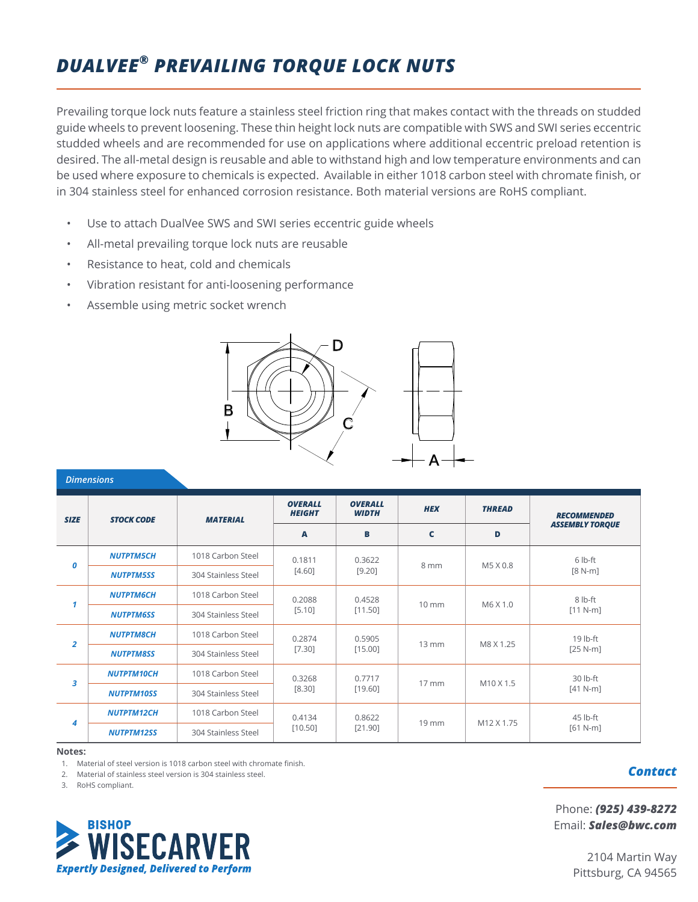# *MOTION SOLUTIONS FROM BISHOP-WISECARVER ARE LIMITED ONLY BY YOUR IMAGINATION DUALVEE® PREVAILING TORQUE LOCK NUTS*

Prevailing torque lock nuts feature a stainless steel friction ring that makes contact with the threads on studded guide wheels to prevent loosening. These thin height lock nuts are compatible with SWS and SWI series eccentric studded wheels and are recommended for use on applications where additional eccentric preload retention is desired. The all-metal design is reusable and able to withstand high and low temperature environments and can be used where exposure to chemicals is expected. Available in either 1018 carbon steel with chromate finish, or in 304 stainless steel for enhanced corrosion resistance. Both material versions are RoHS compliant.

- Use to attach DualVee SWS and SWI series eccentric guide wheels
- All-metal prevailing torque lock nuts are reusable
- Resistance to heat, cold and chemicals
- Vibration resistant for anti-loosening performance
- Assemble using metric socket wrench



|                  | <b>Dimensions</b> |                     |                                 |                                |                       |               |                        |
|------------------|-------------------|---------------------|---------------------------------|--------------------------------|-----------------------|---------------|------------------------|
| <b>SIZE</b>      | <b>STOCK CODE</b> | <b>MATERIAL</b>     | <b>OVERALL</b><br><b>HEIGHT</b> | <b>OVERALL</b><br><b>WIDTH</b> | <b>HEX</b>            | <b>THREAD</b> | <b>RECOMMENDED</b>     |
|                  |                   |                     | A                               | B                              | $\mathbf c$           | D             | <b>ASSEMBLY TORQUE</b> |
| $\boldsymbol{0}$ | <b>NUTPTM5CH</b>  | 1018 Carbon Steel   | 0.1811                          | 0.3622                         | 8 mm                  | M5 X 0.8      | 6 lb-ft                |
|                  | <b>NUTPTM5SS</b>  | 304 Stainless Steel | $[4.60]$                        | $[9.20]$                       |                       |               | $[8 N-m]$              |
| 1                | <b>NUTPTM6CH</b>  | 1018 Carbon Steel   | 0.2088<br>[5.10]                | 0.4528<br>[11.50]              | $10 \text{ mm}$       | M6 X 1.0      | 8 lb-ft<br>$[11 N-m]$  |
|                  | <b>NUTPTM6SS</b>  | 304 Stainless Steel |                                 |                                |                       |               |                        |
|                  | <b>NUTPTM8CH</b>  | 1018 Carbon Steel   | 0.2874                          | 0.5905                         | $13 \, \text{mm}$     | M8 X 1.25     | 19 lb-ft<br>$[25 N-m]$ |
| $\overline{2}$   | <b>NUTPTM8SS</b>  | 304 Stainless Steel | [7.30]                          | [15.00]                        |                       |               |                        |
| 3                | <b>NUTPTM10CH</b> | 1018 Carbon Steel   | 0.3268                          | 0.7717                         | $17 \, \text{mm}$     |               | 30 lb-ft               |
|                  | <b>NUTPTM10SS</b> | 304 Stainless Steel | $[8.30]$<br>[19.60]             |                                | M <sub>10</sub> X 1.5 | $[41 N-m]$    |                        |
| 4                | <b>NUTPTM12CH</b> | 1018 Carbon Steel   | 0.4134                          | 0.8622                         |                       | M12 X 1.75    | 45 lb-ft               |
|                  | <b>NUTPTM12SS</b> | 304 Stainless Steel | [10.50]                         | [21.90]                        | $19$ mm               |               | $[61 N-m]$             |

**Notes:**

1. Material of steel version is 1018 carbon steel with chromate finish.

2. Material of stainless steel version is 304 stainless steel.

3. RoHS compliant.



# *Contact*

Phone: *(925) 439-8272* Email: *Sales@bwc.com*

> 2104 Martin Way Pittsburg, CA 94565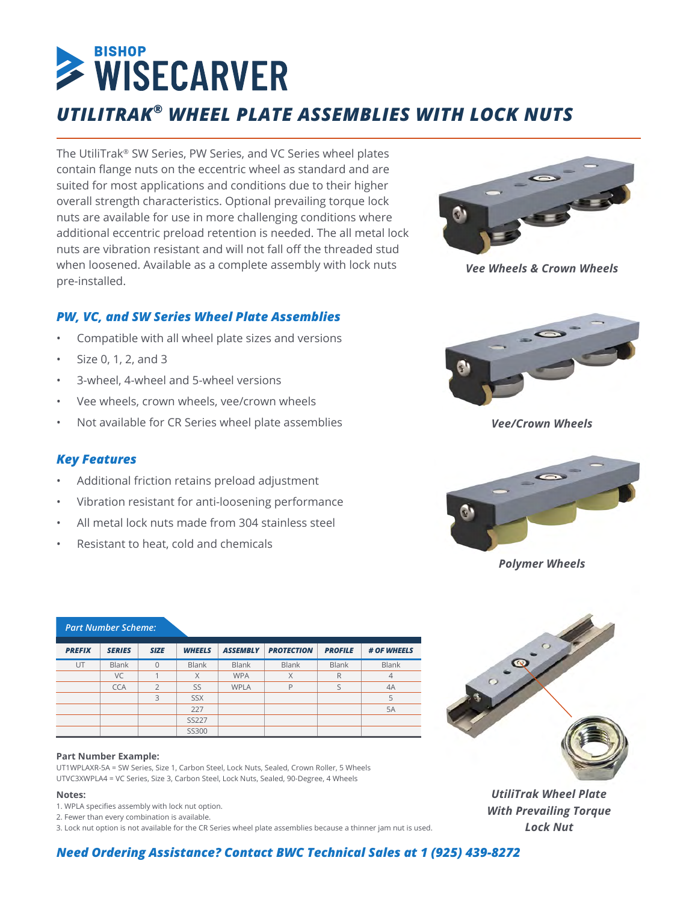# **BISHOP** WISECARVER *UTILITRAK® WHEEL PLATE ASSEMBLIES WITH LOCK NUTS*

The UtiliTrak® SW Series, PW Series, and VC Series wheel plates contain flange nuts on the eccentric wheel as standard and are suited for most applications and conditions due to their higher overall strength characteristics. Optional prevailing torque lock nuts are available for use in more challenging conditions where additional eccentric preload retention is needed. The all metal lock nuts are vibration resistant and will not fall off the threaded stud when loosened. Available as a complete assembly with lock nuts pre-installed.



*Vee Wheels & Crown Wheels*

# *PW, VC, and SW Series Wheel Plate Assemblies*

- Compatible with all wheel plate sizes and versions
- Size 0, 1, 2, and 3
- 3-wheel, 4-wheel and 5-wheel versions
- Vee wheels, crown wheels, vee/crown wheels
- Not available for CR Series wheel plate assemblies

*Vee/Crown Wheels*



*Polymer Wheels*



*UtiliTrak Wheel Plate With Prevailing Torque Lock Nut*

#### *Key Features*

- Additional friction retains preload adjustment
- Vibration resistant for anti-loosening performance
- All metal lock nuts made from 304 stainless steel
- Resistant to heat, cold and chemicals

| <b>PREFIX</b> | <b>SERIES</b> | <b>SIZE</b>    | <b>WHEELS</b> | <b>ASSEMBLY</b> | <b>PROTECTION</b> | <b>PROFILE</b> | # OF WHEELS    |
|---------------|---------------|----------------|---------------|-----------------|-------------------|----------------|----------------|
| UT            | <b>Blank</b>  | $\Omega$       | <b>Blank</b>  | <b>Blank</b>    | Blank             | <b>Blank</b>   | <b>Blank</b>   |
|               | VC            |                | X             | <b>WPA</b>      | X                 | R              | $\overline{4}$ |
|               | <b>CCA</b>    | $\overline{2}$ | SS            | <b>WPLA</b>     | P                 |                | 4A             |
|               |               | 3              | <b>SSX</b>    |                 |                   |                | 5              |
|               |               |                | 227           |                 |                   |                | 5A             |
|               |               |                | <b>SS227</b>  |                 |                   |                |                |
|               |               |                | SS300         |                 |                   |                |                |

#### **Part Number Example:**

*Part Number Scheme:*

UT1WPLAXR-5A = SW Series, Size 1, Carbon Steel, Lock Nuts, Sealed, Crown Roller, 5 Wheels UTVC3XWPLA4 = VC Series, Size 3, Carbon Steel, Lock Nuts, Sealed, 90-Degree, 4 Wheels

#### **Notes:**

- 1. WPLA specifies assembly with lock nut option.
- 2. Fewer than every combination is available.

3. Lock nut option is not available for the CR Series wheel plate assemblies because a thinner jam nut is used.

# *Need Ordering Assistance? Contact BWC Technical Sales at 1 (925) 439-8272*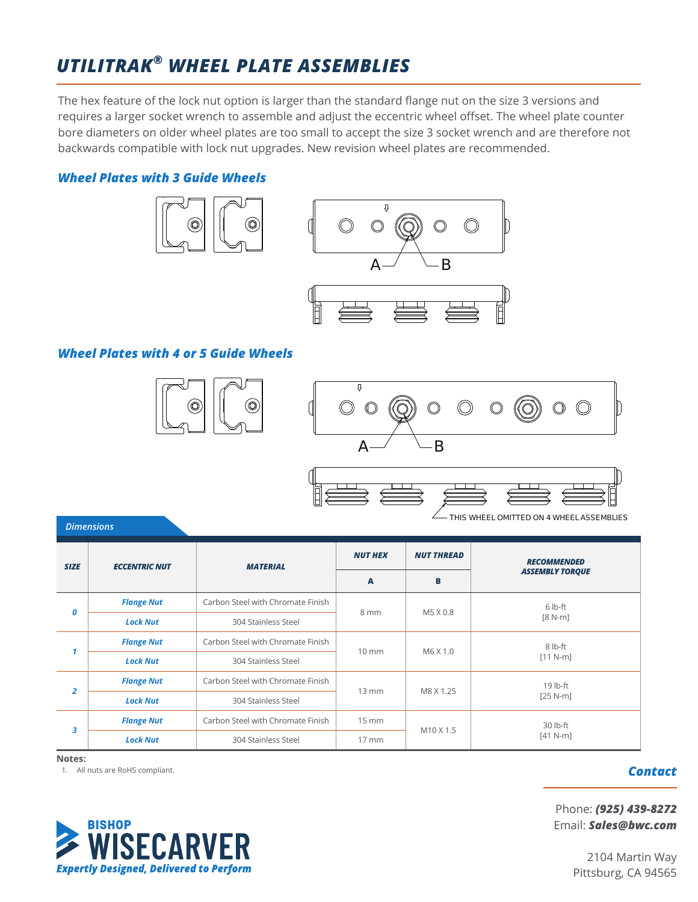# *MOTION SOLUTIONS FROM BISHOP-WISECARVER ARE LIMITED ONLY BY YOUR IMAGINATION UTILITRAK® WHEEL PLATE ASSEMBLIES*

The hex feature of the lock nut option is larger than the standard flange nut on the size 3 versions and requires a larger socket wrench to assemble and adjust the eccentric wheel offset. The wheel plate counter bore diameters on older wheel plates are too small to accept the size 3 socket wrench and are therefore not backwards compatible with lock nut upgrades. New revision wheel plates are recommended.

#### *Wheel Plates with 3 Guide Wheels*





# *Wheel Plates with 4 or 5 Guide Wheels*







| THIS WHEEL OMITTED ON 4 WHEEL ASSEMBLIES |  |  |
|------------------------------------------|--|--|
|                                          |  |  |

|                |                      | <b>MATERIAL</b>                          |                     | <b>NUT THREAD</b>     | <b>RECOMMENDED</b>     |
|----------------|----------------------|------------------------------------------|---------------------|-----------------------|------------------------|
| <b>SIZE</b>    | <b>ECCENTRIC NUT</b> |                                          | $\overline{A}$      | B                     | <b>ASSEMBLY TORQUE</b> |
|                | <b>Flange Nut</b>    | Carbon Steel with Chromate Finish        |                     |                       | 6 lb-ft                |
| 0              | <b>Lock Nut</b>      | 304 Stainless Steel                      | 8 mm                | M5 X 0.8              | $[8 N-m]$              |
| 1              | <b>Flange Nut</b>    | Carbon Steel with Chromate Finish        |                     |                       | 8 lb-ft                |
|                | <b>Lock Nut</b>      | 304 Stainless Steel                      | $10 \, \text{mm}$   | M6 X 1.0              | $[11 N-m]$             |
|                | <b>Flange Nut</b>    | Carbon Steel with Chromate Finish        |                     |                       | 19 lb-ft               |
| $\overline{2}$ | <b>Lock Nut</b>      | $13 \, \text{mm}$<br>304 Stainless Steel |                     | M8 X 1.25             | $[25 N-m]$             |
|                | <b>Flange Nut</b>    | Carbon Steel with Chromate Finish        | $15 \, \text{mm}$   |                       | 30 lb-ft               |
| 3              | <b>Lock Nut</b>      | 304 Stainless Steel                      | $17 \, \mathrm{mm}$ | M <sub>10</sub> X 1.5 | $[41 N-m]$             |

**Notes:**

*Dimensions*

1. All nuts are RoHS compliant.



# *Contact*

Phone: *(925) 439-8272* Email: *Sales@bwc.com*

> 2104 Martin Way Pittsburg, CA 94565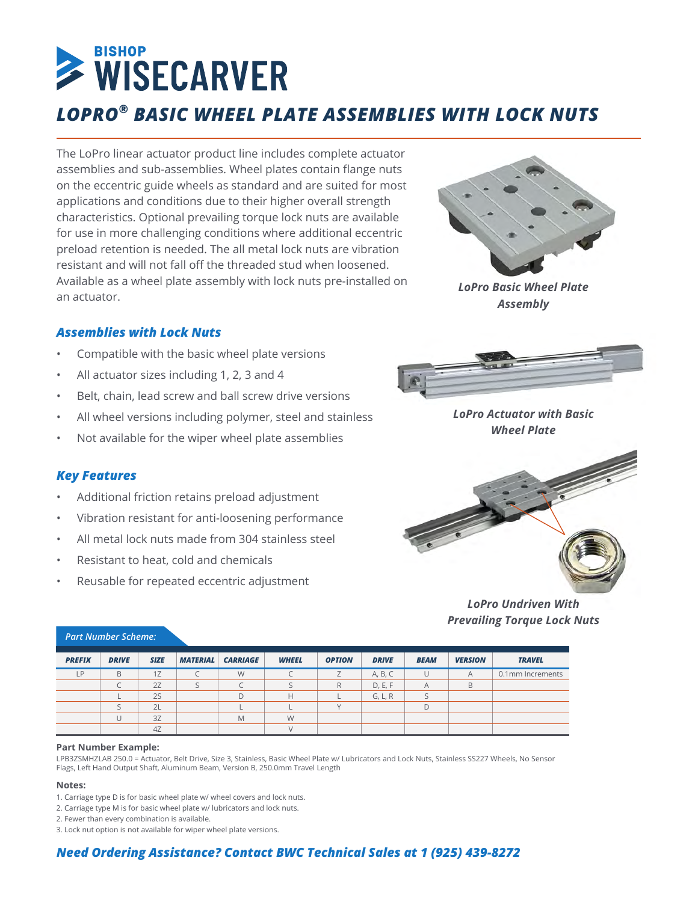# **EISHOP**<br> **WISECARVER** *LOPRO® BASIC WHEEL PLATE ASSEMBLIES WITH LOCK NUTS*

The LoPro linear actuator product line includes complete actuator assemblies and sub-assemblies. Wheel plates contain flange nuts on the eccentric guide wheels as standard and are suited for most applications and conditions due to their higher overall strength characteristics. Optional prevailing torque lock nuts are available for use in more challenging conditions where additional eccentric preload retention is needed. The all metal lock nuts are vibration resistant and will not fall off the threaded stud when loosened. Available as a wheel plate assembly with lock nuts pre-installed on an actuator.



*LoPro Basic Wheel Plate Assembly*

# *Assemblies with Lock Nuts*

- Compatible with the basic wheel plate versions
- All actuator sizes including 1, 2, 3 and 4
- Belt, chain, lead screw and ball screw drive versions
- All wheel versions including polymer, steel and stainless
- Not available for the wiper wheel plate assemblies

# *Key Features*

- Additional friction retains preload adjustment
- Vibration resistant for anti-loosening performance
- All metal lock nuts made from 304 stainless steel
- Resistant to heat, cold and chemicals
- Reusable for repeated eccentric adjustment



*LoPro Actuator with Basic Wheel Plate*



*LoPro Undriven With Prevailing Torque Lock Nuts*

| <b>PREFIX</b> | <b>DRIVE</b> | <b>SIZE</b> | <b>MATERIAL</b> | <b>CARRIAGE</b> | <b>WHEEL</b> | <b>OPTION</b> | <b>DRIVE</b> | <b>BEAM</b> | <b>VERSION</b> | <b>TRAVEL</b>    |
|---------------|--------------|-------------|-----------------|-----------------|--------------|---------------|--------------|-------------|----------------|------------------|
| <b>LP</b>     | B            | 1Z          |                 | W               |              |               | A, B, C      | U           | A              | 0.1mm Increments |
|               |              | 2Z          |                 |                 |              | R             | D, E, F      | A           | B              |                  |
|               |              | 2S          |                 |                 | н            |               | G, L, R      |             |                |                  |
|               |              | 2L          |                 |                 |              |               |              | D           |                |                  |
|               |              | 3Z          |                 | M               | W            |               |              |             |                |                  |
|               |              | 4Z          |                 |                 |              |               |              |             |                |                  |

#### *Part Number Scheme:*

#### **Part Number Example:**

LPB3ZSMHZLAB 250.0 = Actuator, Belt Drive, Size 3, Stainless, Basic Wheel Plate w/ Lubricators and Lock Nuts, Stainless SS227 Wheels, No Sensor Flags, Left Hand Output Shaft, Aluminum Beam, Version B, 250.0mm Travel Length

#### **Notes:**

- 1. Carriage type D is for basic wheel plate w/ wheel covers and lock nuts.
- 2. Carriage type M is for basic wheel plate w/ lubricators and lock nuts.
- 2. Fewer than every combination is available.

3. Lock nut option is not available for wiper wheel plate versions.

# *Need Ordering Assistance? Contact BWC Technical Sales at 1 (925) 439-8272*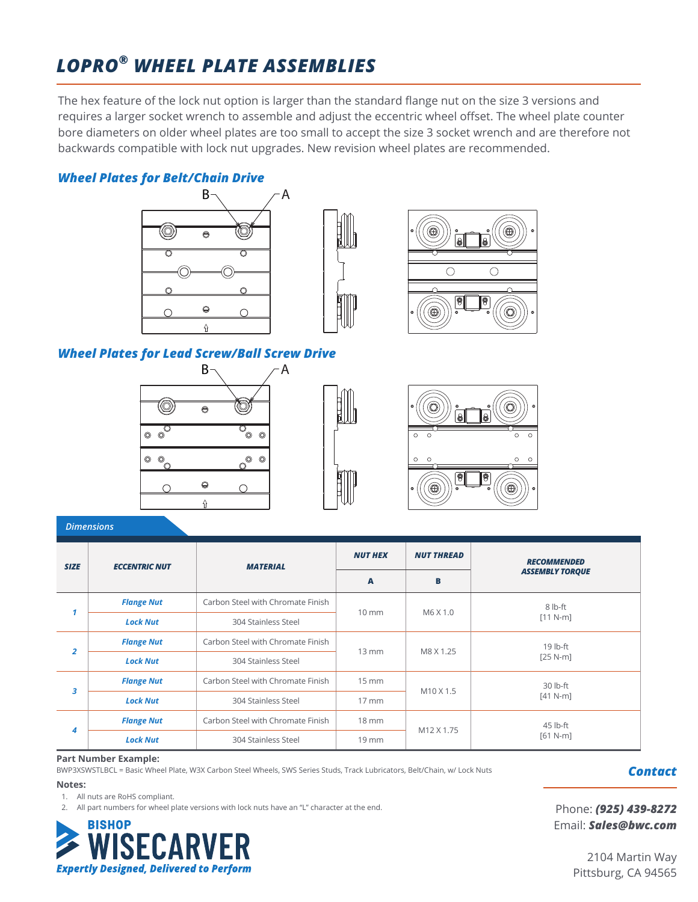# *MOTION SOLUTIONS FROM BISHOP-WISECARVER ARE LIMITED ONLY BY YOUR IMAGINATION LOPRO® WHEEL PLATE ASSEMBLIES*

The hex feature of the lock nut option is larger than the standard flange nut on the size 3 versions and requires a larger socket wrench to assemble and adjust the eccentric wheel offset. The wheel plate counter bore diameters on older wheel plates are too small to accept the size 3 socket wrench and are therefore not backwards compatible with lock nut upgrades. New revision wheel plates are recommended.

# *Wheel Plates for Belt/Chain Drive*







# *Wheel Plates for Lead Screw/Ball Screw Drive*







*Dimensions*

| <b>SIZE</b>          | <b>ECCENTRIC NUT</b> | <b>MATERIAL</b>                   | <b>NUT HEX</b>    | <b>NUT THREAD</b>     | <b>RECOMMENDED</b>     |  |
|----------------------|----------------------|-----------------------------------|-------------------|-----------------------|------------------------|--|
|                      |                      |                                   | A                 | в                     | <b>ASSEMBLY TORQUE</b> |  |
|                      | <b>Flange Nut</b>    | Carbon Steel with Chromate Finish | $10 \text{ mm}$   | M6 X 1.0              | 8 lb-ft                |  |
|                      | 1<br><b>Lock Nut</b> | 304 Stainless Steel               |                   |                       | $[11 N-m]$             |  |
| $\overline{a}$       | <b>Flange Nut</b>    | Carbon Steel with Chromate Finish | $13 \, \text{mm}$ | M8 X 1.25             | 19 lb-ft               |  |
|                      | <b>Lock Nut</b>      | 304 Stainless Steel               |                   |                       | $[25 N-m]$             |  |
|                      | <b>Flange Nut</b>    | Carbon Steel with Chromate Finish | $15 \, \text{mm}$ | M <sub>10</sub> X 1.5 | 30 lb-ft               |  |
|                      | 3<br><b>Lock Nut</b> | 304 Stainless Steel               | $17 \text{ mm}$   |                       | $[41 N-m]$             |  |
|                      | <b>Flange Nut</b>    | Carbon Steel with Chromate Finish | $18 \, \text{mm}$ | M12 X 1.75            | 45 lb-ft               |  |
| 4<br><b>Lock Nut</b> |                      | 304 Stainless Steel               | $19$ mm           |                       | $[61 N-m]$             |  |

#### **Part Number Example:**

BWP3XSWSTLBCL = Basic Wheel Plate, W3X Carbon Steel Wheels, SWS Series Studs, Track Lubricators, Belt/Chain, w/ Lock Nuts

#### **Notes:**

1. All nuts are RoHS compliant.

2. All part numbers for wheel plate versions with lock nuts have an "L" character at the end.



*Contact*

Phone: *(925) 439-8272* Email: *Sales@bwc.com*

> 2104 Martin Way Pittsburg, CA 94565